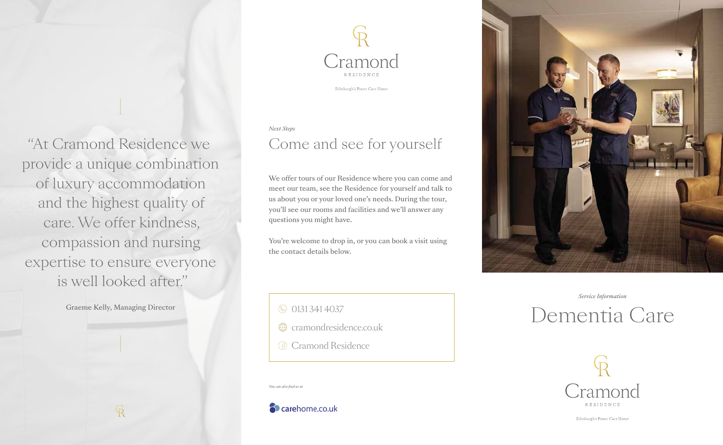Cramond **RESIDENCE** 

Edinburgh's Finest Care Home

#### *Next Steps*

## Come and see for yourself

We offer tours of our Residence where you can come and meet our team, see the Residence for yourself and talk to us about you or your loved one's needs. During the tour, you'll see our rooms and facilities and we'll answer any questions you might have.

You're welcome to drop in, or you can book a visit using the contact details below.

© 0131 341 4037

- cramondresidence.co.uk
- G Cramond Residence

*You can also find us at*

carehome.co.uk



*Service Information*

# Dementia Care



Edinburgh's Finest Care Home

"At Cramond Residence we provide a unique combination of luxury accommodation and the highest quality of care. We offer kindness, compassion and nursing expertise to ensure everyone is well looked after."

Graeme Kelly, Managing Director